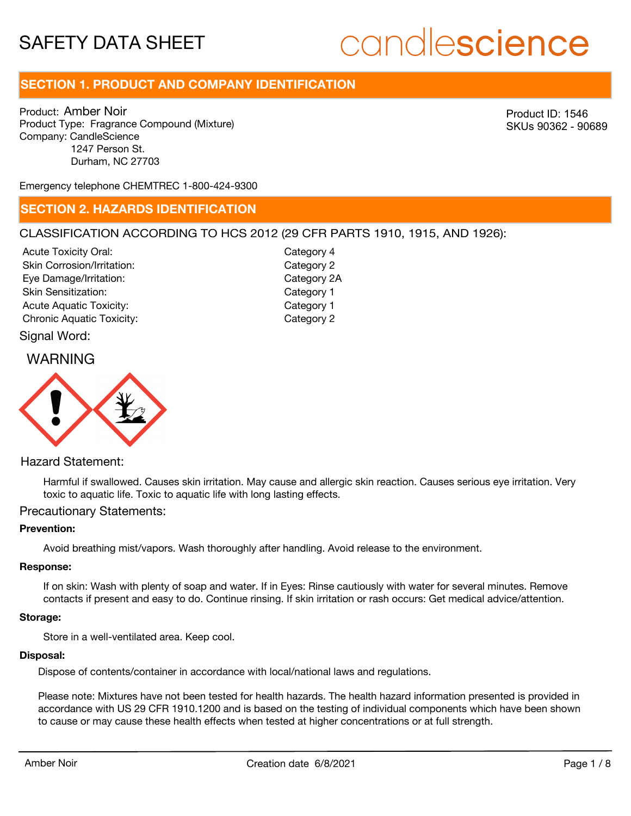# candlescience

# **SECTION 1. PRODUCT AND COMPANY IDENTIFICATION**

Product: Amber Noir Product Type: Fragrance Compound (Mixture) Company: CandleScience 1247 Person St. Durham, NC 27703

Product ID: 1546 SKUs 90362 - 90689

Emergency telephone CHEMTREC 1-800-424-9300

### **SECTION 2. HAZARDS IDENTIFICATION**

#### CLASSIFICATION ACCORDING TO HCS 2012 (29 CFR PARTS 1910, 1915, AND 1926):

Acute Toxicity Oral: Skin Corrosion/Irritation: Eye Damage/Irritation: Skin Sensitization: Acute Aquatic Toxicity: Notice Aquatic Toxicity: Chronic Aquatic Toxicity: Chronic Aquatic Toxicity:

Category 4 Category 2 Category 2A Category 1

Signal Word:

## WARNING



### Hazard Statement:

Harmful if swallowed. Causes skin irritation. May cause and allergic skin reaction. Causes serious eye irritation. Very toxic to aquatic life. Toxic to aquatic life with long lasting effects.

#### Precautionary Statements:

#### **Prevention:**

Avoid breathing mist/vapors. Wash thoroughly after handling. Avoid release to the environment.

#### **Response:**

If on skin: Wash with plenty of soap and water. If in Eyes: Rinse cautiously with water for several minutes. Remove contacts if present and easy to do. Continue rinsing. If skin irritation or rash occurs: Get medical advice/attention.

#### **Storage:**

Store in a well-ventilated area. Keep cool.

#### **Disposal:**

Dispose of contents/container in accordance with local/national laws and regulations.

Please note: Mixtures have not been tested for health hazards. The health hazard information presented is provided in accordance with US 29 CFR 1910.1200 and is based on the testing of individual components which have been shown to cause or may cause these health effects when tested at higher concentrations or at full strength.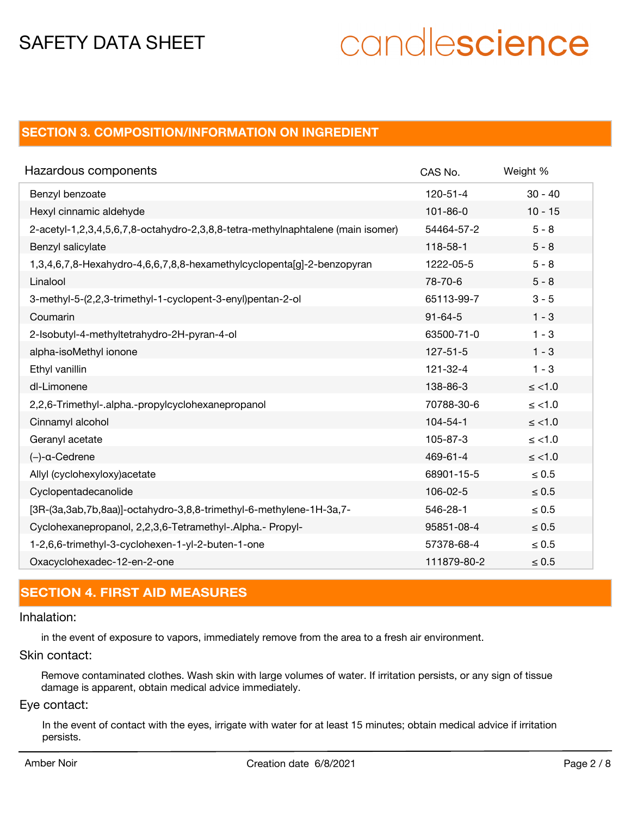# candlescience

# **SECTION 3. COMPOSITION/INFORMATION ON INGREDIENT**

| Hazardous components                                                            | CAS No.        | Weight %   |
|---------------------------------------------------------------------------------|----------------|------------|
| Benzyl benzoate                                                                 | $120 - 51 - 4$ | $30 - 40$  |
| Hexyl cinnamic aldehyde                                                         | $101 - 86 - 0$ | $10 - 15$  |
| 2-acetyl-1,2,3,4,5,6,7,8-octahydro-2,3,8,8-tetra-methylnaphtalene (main isomer) | 54464-57-2     | $5 - 8$    |
| Benzyl salicylate                                                               | 118-58-1       | $5 - 8$    |
| 1,3,4,6,7,8-Hexahydro-4,6,6,7,8,8-hexamethylcyclopenta[g]-2-benzopyran          | 1222-05-5      | $5 - 8$    |
| Linalool                                                                        | 78-70-6        | $5 - 8$    |
| 3-methyl-5-(2,2,3-trimethyl-1-cyclopent-3-enyl)pentan-2-ol                      | 65113-99-7     | $3 - 5$    |
| Coumarin                                                                        | $91 - 64 - 5$  | $1 - 3$    |
| 2-Isobutyl-4-methyltetrahydro-2H-pyran-4-ol                                     | 63500-71-0     | $1 - 3$    |
| alpha-isoMethyl ionone                                                          | $127 - 51 - 5$ | $1 - 3$    |
| Ethyl vanillin                                                                  | $121 - 32 - 4$ | $1 - 3$    |
| dl-Limonene                                                                     | 138-86-3       | $\le$ <1.0 |
| 2,2,6-Trimethyl-.alpha.-propylcyclohexanepropanol                               | 70788-30-6     | $\le$ <1.0 |
| Cinnamyl alcohol                                                                | $104 - 54 - 1$ | $\le$ <1.0 |
| Geranyl acetate                                                                 | 105-87-3       | $\le$ <1.0 |
| $(-)$ -a-Cedrene                                                                | 469-61-4       | $\le$ <1.0 |
| Allyl (cyclohexyloxy) acetate                                                   | 68901-15-5     | $\leq 0.5$ |
| Cyclopentadecanolide                                                            | 106-02-5       | $\leq 0.5$ |
| [3R-(3a,3ab,7b,8aa)]-octahydro-3,8,8-trimethyl-6-methylene-1H-3a,7-             | 546-28-1       | $\leq 0.5$ |
| Cyclohexanepropanol, 2,2,3,6-Tetramethyl-.Alpha.- Propyl-                       | 95851-08-4     | $\leq 0.5$ |
| 1-2,6,6-trimethyl-3-cyclohexen-1-yl-2-buten-1-one                               | 57378-68-4     | $\leq 0.5$ |
| Oxacyclohexadec-12-en-2-one                                                     | 111879-80-2    | $\leq 0.5$ |

# **SECTION 4. FIRST AID MEASURES**

#### Inhalation:

in the event of exposure to vapors, immediately remove from the area to a fresh air environment.

#### Skin contact:

Remove contaminated clothes. Wash skin with large volumes of water. If irritation persists, or any sign of tissue damage is apparent, obtain medical advice immediately.

### Eye contact:

In the event of contact with the eyes, irrigate with water for at least 15 minutes; obtain medical advice if irritation persists.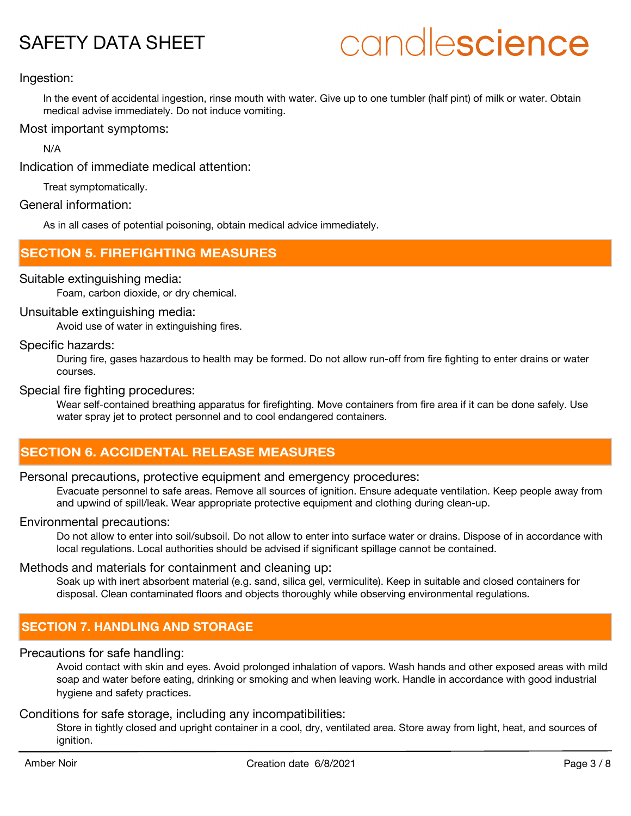# candlescience

#### Ingestion:

In the event of accidental ingestion, rinse mouth with water. Give up to one tumbler (half pint) of milk or water. Obtain medical advise immediately. Do not induce vomiting.

#### Most important symptoms:

N/A

Indication of immediate medical attention:

Treat symptomatically.

#### General information:

As in all cases of potential poisoning, obtain medical advice immediately.

### **SECTION 5. FIREFIGHTING MEASURES**

#### Suitable extinguishing media:

Foam, carbon dioxide, or dry chemical.

#### Unsuitable extinguishing media:

Avoid use of water in extinguishing fires.

#### Specific hazards:

During fire, gases hazardous to health may be formed. Do not allow run-off from fire fighting to enter drains or water courses.

#### Special fire fighting procedures:

Wear self-contained breathing apparatus for firefighting. Move containers from fire area if it can be done safely. Use water spray jet to protect personnel and to cool endangered containers.

## **SECTION 6. ACCIDENTAL RELEASE MEASURES**

#### Personal precautions, protective equipment and emergency procedures:

Evacuate personnel to safe areas. Remove all sources of ignition. Ensure adequate ventilation. Keep people away from and upwind of spill/leak. Wear appropriate protective equipment and clothing during clean-up.

#### Environmental precautions:

Do not allow to enter into soil/subsoil. Do not allow to enter into surface water or drains. Dispose of in accordance with local regulations. Local authorities should be advised if significant spillage cannot be contained.

#### Methods and materials for containment and cleaning up:

Soak up with inert absorbent material (e.g. sand, silica gel, vermiculite). Keep in suitable and closed containers for disposal. Clean contaminated floors and objects thoroughly while observing environmental regulations.

## **SECTION 7. HANDLING AND STORAGE**

#### Precautions for safe handling:

Avoid contact with skin and eyes. Avoid prolonged inhalation of vapors. Wash hands and other exposed areas with mild soap and water before eating, drinking or smoking and when leaving work. Handle in accordance with good industrial hygiene and safety practices.

### Conditions for safe storage, including any incompatibilities:

Store in tightly closed and upright container in a cool, dry, ventilated area. Store away from light, heat, and sources of ignition.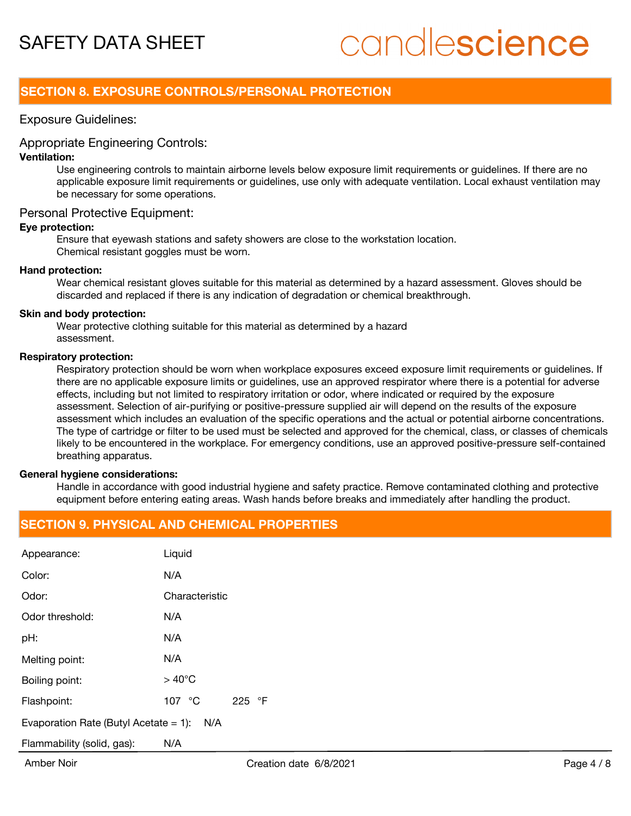# candlescience

## **SECTION 8. EXPOSURE CONTROLS/PERSONAL PROTECTION**

#### Exposure Guidelines:

#### Appropriate Engineering Controls:

#### **Ventilation:**

Use engineering controls to maintain airborne levels below exposure limit requirements or guidelines. If there are no applicable exposure limit requirements or guidelines, use only with adequate ventilation. Local exhaust ventilation may be necessary for some operations.

#### Personal Protective Equipment:

#### **Eye protection:**

Ensure that eyewash stations and safety showers are close to the workstation location. Chemical resistant goggles must be worn.

#### **Hand protection:**

Wear chemical resistant gloves suitable for this material as determined by a hazard assessment. Gloves should be discarded and replaced if there is any indication of degradation or chemical breakthrough.

#### **Skin and body protection:**

Wear protective clothing suitable for this material as determined by a hazard assessment.

#### **Respiratory protection:**

Respiratory protection should be worn when workplace exposures exceed exposure limit requirements or guidelines. If there are no applicable exposure limits or guidelines, use an approved respirator where there is a potential for adverse effects, including but not limited to respiratory irritation or odor, where indicated or required by the exposure assessment. Selection of air-purifying or positive-pressure supplied air will depend on the results of the exposure assessment which includes an evaluation of the specific operations and the actual or potential airborne concentrations. The type of cartridge or filter to be used must be selected and approved for the chemical, class, or classes of chemicals likely to be encountered in the workplace. For emergency conditions, use an approved positive-pressure self-contained breathing apparatus.

#### **General hygiene considerations:**

Handle in accordance with good industrial hygiene and safety practice. Remove contaminated clothing and protective equipment before entering eating areas. Wash hands before breaks and immediately after handling the product.

### **SECTION 9. PHYSICAL AND CHEMICAL PROPERTIES**

| Appearance:                                  | Liquid                        |  |
|----------------------------------------------|-------------------------------|--|
| Color:                                       | N/A                           |  |
| Odor:                                        | Characteristic                |  |
| Odor threshold:                              | N/A                           |  |
| pH:                                          | N/A                           |  |
| Melting point:                               | N/A                           |  |
| Boiling point:                               | $>40^{\circ}$ C               |  |
| Flashpoint:                                  | 107 $\degree$ C<br>⊸°F<br>225 |  |
| Evaporation Rate (Butyl Acetate = 1):<br>N/A |                               |  |
| Flammability (solid, gas):                   | N/A                           |  |
|                                              |                               |  |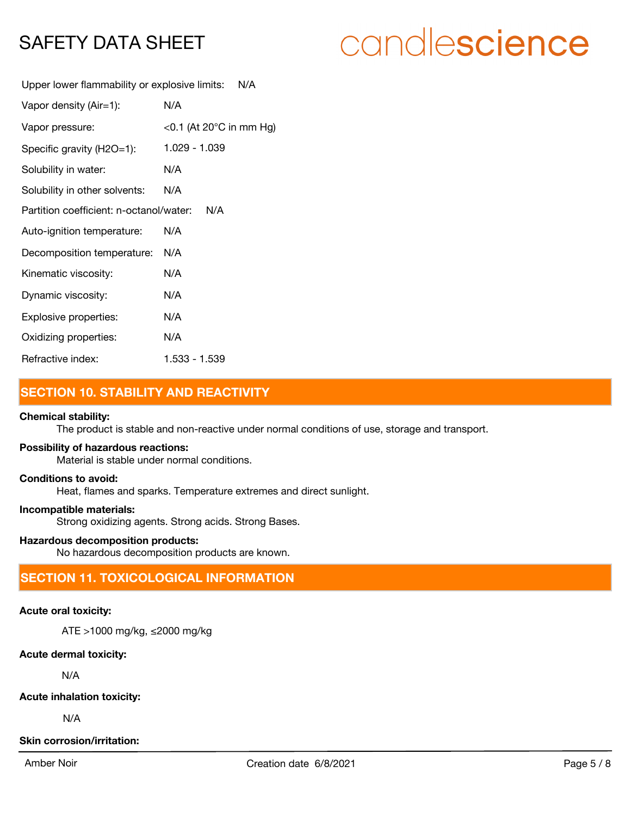# candlescience

Upper lower flammability or explosive limits: N/A

| Vapor density (Air=1):                         | N/A                                |  |
|------------------------------------------------|------------------------------------|--|
| Vapor pressure:                                | <0.1 (At 20 $^{\circ}$ C in mm Hg) |  |
| Specific gravity (H2O=1):                      | 1.029 - 1.039                      |  |
| Solubility in water:                           | N/A                                |  |
| Solubility in other solvents:                  | N/A                                |  |
| Partition coefficient: n-octanol/water:<br>N/A |                                    |  |
| Auto-ignition temperature:                     | N/A                                |  |
| Decomposition temperature:                     | N/A                                |  |
| Kinematic viscosity:                           | N/A                                |  |
| Dynamic viscosity:                             | N/A                                |  |
| Explosive properties:                          | N/A                                |  |
| Oxidizing properties:                          | N/A                                |  |
| Refractive index:                              | 1.533 - 1.539                      |  |

# **SECTION 10. STABILITY AND REACTIVITY**

#### **Chemical stability:**

The product is stable and non-reactive under normal conditions of use, storage and transport.

#### **Possibility of hazardous reactions:**

Material is stable under normal conditions.

#### **Conditions to avoid:**

Heat, flames and sparks. Temperature extremes and direct sunlight.

#### **Incompatible materials:**

Strong oxidizing agents. Strong acids. Strong Bases.

#### **Hazardous decomposition products:**

No hazardous decomposition products are known.

# **SECTION 11. TOXICOLOGICAL INFORMATION**

#### **Acute oral toxicity:**

ATE >1000 mg/kg, ≤2000 mg/kg

#### **Acute dermal toxicity:**

N/A

**Acute inhalation toxicity:**

N/A

#### **Skin corrosion/irritation:**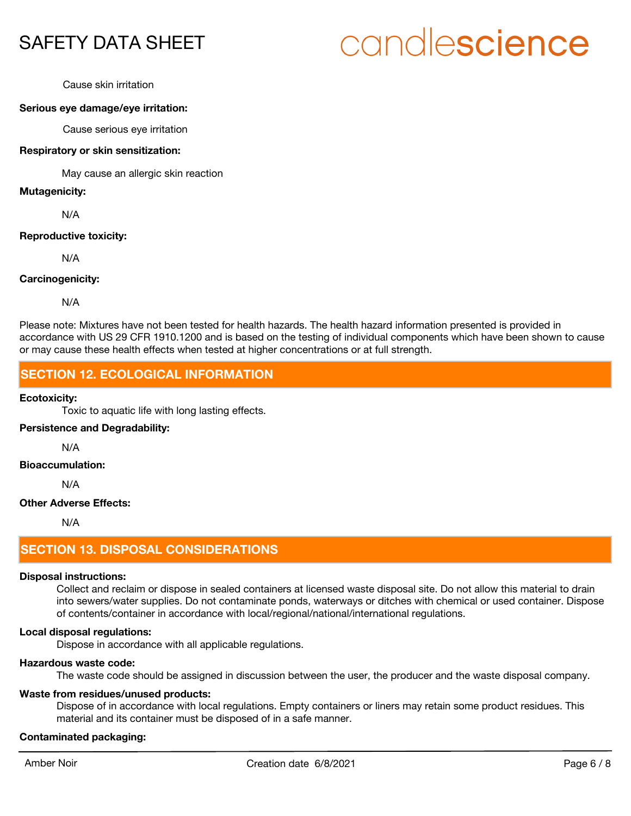# candlescience

Cause skin irritation

#### **Serious eye damage/eye irritation:**

Cause serious eye irritation

#### **Respiratory or skin sensitization:**

May cause an allergic skin reaction

#### **Mutagenicity:**

N/A

#### **Reproductive toxicity:**

N/A

#### **Carcinogenicity:**

N/A

Please note: Mixtures have not been tested for health hazards. The health hazard information presented is provided in accordance with US 29 CFR 1910.1200 and is based on the testing of individual components which have been shown to cause or may cause these health effects when tested at higher concentrations or at full strength.

## **SECTION 12. ECOLOGICAL INFORMATION**

#### **Ecotoxicity:**

Toxic to aquatic life with long lasting effects.

#### **Persistence and Degradability:**

N/A

#### **Bioaccumulation:**

N/A

#### **Other Adverse Effects:**

N/A

### **SECTION 13. DISPOSAL CONSIDERATIONS**

#### **Disposal instructions:**

Collect and reclaim or dispose in sealed containers at licensed waste disposal site. Do not allow this material to drain into sewers/water supplies. Do not contaminate ponds, waterways or ditches with chemical or used container. Dispose of contents/container in accordance with local/regional/national/international regulations.

#### **Local disposal regulations:**

Dispose in accordance with all applicable regulations.

#### **Hazardous waste code:**

The waste code should be assigned in discussion between the user, the producer and the waste disposal company.

#### **Waste from residues/unused products:**

Dispose of in accordance with local regulations. Empty containers or liners may retain some product residues. This material and its container must be disposed of in a safe manner.

#### **Contaminated packaging:**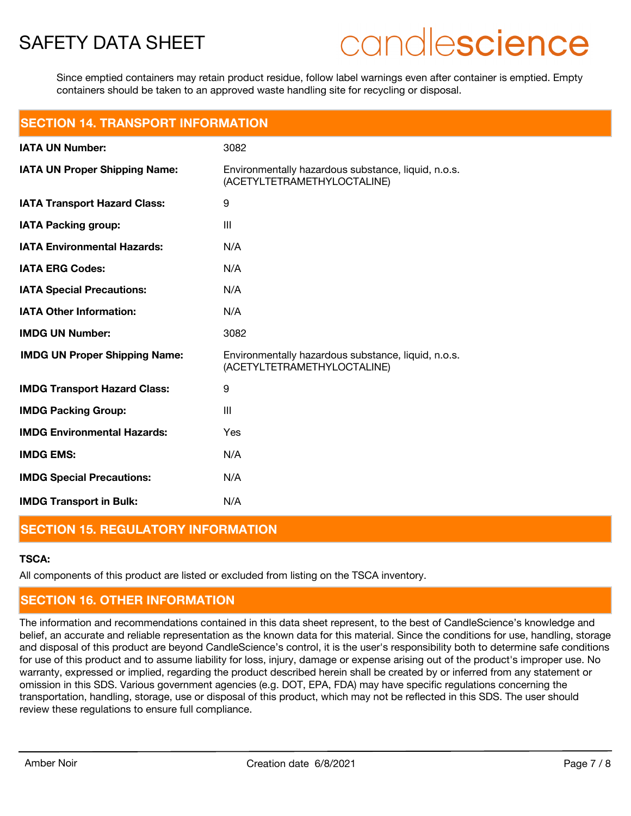# candlescience

Since emptied containers may retain product residue, follow label warnings even after container is emptied. Empty containers should be taken to an approved waste handling site for recycling or disposal.

| <b>SECTION 14. TRANSPORT INFORMATION</b> |  |  |  |
|------------------------------------------|--|--|--|
|                                          |  |  |  |
|                                          |  |  |  |

| <b>IATA UN Number:</b>               | 3082                                                                               |
|--------------------------------------|------------------------------------------------------------------------------------|
| <b>IATA UN Proper Shipping Name:</b> | Environmentally hazardous substance, liquid, n.o.s.<br>(ACETYLTETRAMETHYLOCTALINE) |
| <b>IATA Transport Hazard Class:</b>  | 9                                                                                  |
| <b>IATA Packing group:</b>           | III                                                                                |
| <b>IATA Environmental Hazards:</b>   | N/A                                                                                |
| <b>IATA ERG Codes:</b>               | N/A                                                                                |
| <b>IATA Special Precautions:</b>     | N/A                                                                                |
| <b>IATA Other Information:</b>       | N/A                                                                                |
| <b>IMDG UN Number:</b>               | 3082                                                                               |
| <b>IMDG UN Proper Shipping Name:</b> | Environmentally hazardous substance, liquid, n.o.s.<br>(ACETYLTETRAMETHYLOCTALINE) |
| <b>IMDG Transport Hazard Class:</b>  | 9                                                                                  |
| <b>IMDG Packing Group:</b>           | III                                                                                |
| <b>IMDG Environmental Hazards:</b>   | Yes                                                                                |
| <b>IMDG EMS:</b>                     | N/A                                                                                |
| <b>IMDG Special Precautions:</b>     | N/A                                                                                |
| <b>IMDG Transport in Bulk:</b>       | N/A                                                                                |

# **SECTION 15. REGULATORY INFORMATION**

## **TSCA:**

All components of this product are listed or excluded from listing on the TSCA inventory.

# **SECTION 16. OTHER INFORMATION**

The information and recommendations contained in this data sheet represent, to the best of CandleScience's knowledge and belief, an accurate and reliable representation as the known data for this material. Since the conditions for use, handling, storage and disposal of this product are beyond CandleScience's control, it is the user's responsibility both to determine safe conditions for use of this product and to assume liability for loss, injury, damage or expense arising out of the product's improper use. No warranty, expressed or implied, regarding the product described herein shall be created by or inferred from any statement or omission in this SDS. Various government agencies (e.g. DOT, EPA, FDA) may have specific regulations concerning the transportation, handling, storage, use or disposal of this product, which may not be reflected in this SDS. The user should review these regulations to ensure full compliance.